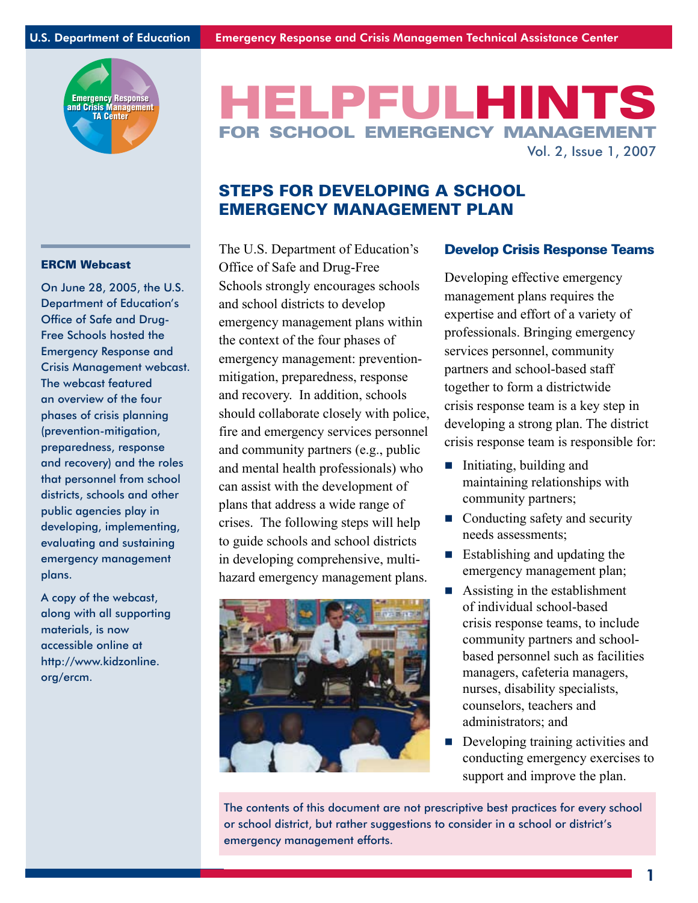

# HELPFULHINT FOR SCHOOL EMERGENCY MANAGEM Vol. 2, Issue 1, 2007

# STEPS FOR DEVELOPING A SCHOOL EMERGENCY MANAGEMENT PLAN

#### ERCM Webcast

On June 28, 2005, the U.S. Department of Education's Office of Safe and Drug-Free Schools hosted the Emergency Response and Crisis Management webcast. The webcast featured an overview of the four phases of crisis planning (prevention-mitigation, preparedness, response and recovery) and the roles that personnel from school districts, schools and other public agencies play in developing, implementing, evaluating and sustaining emergency management plans.

A copy of the webcast, along with all supporting materials, is now accessible online at http://www.kidzonline. org/ercm.

The U.S. Department of Education's Office of Safe and Drug-Free Schools strongly encourages schools and school districts to develop emergency management plans within the context of the four phases of emergency management: preventionmitigation, preparedness, response and recovery. In addition, schools should collaborate closely with police, fire and emergency services personnel and community partners (e.g., public and mental health professionals) who can assist with the development of plans that address a wide range of crises. The following steps will help to guide schools and school districts in developing comprehensive, multihazard emergency management plans.



#### Develop Crisis Response Teams

Developing effective emergency management plans requires the expertise and effort of a variety of professionals. Bringing emergency services personnel, community partners and school-based staff together to form a districtwide crisis response team is a key step in developing a strong plan. The district crisis response team is responsible for:

- Initiating, building and maintaining relationships with community partners;
- Conducting safety and security needs assessments;
- $\blacksquare$  Establishing and updating the emergency management plan;
- Assisting in the establishment of individual school-based crisis response teams, to include community partners and schoolbased personnel such as facilities managers, cafeteria managers, nurses, disability specialists, counselors, teachers and administrators; and
- Developing training activities and conducting emergency exercises to support and improve the plan. m.

The contents of this document are not prescriptive best practices for every school or school district, but rather suggestions to consider in a school or district's emergency management efforts.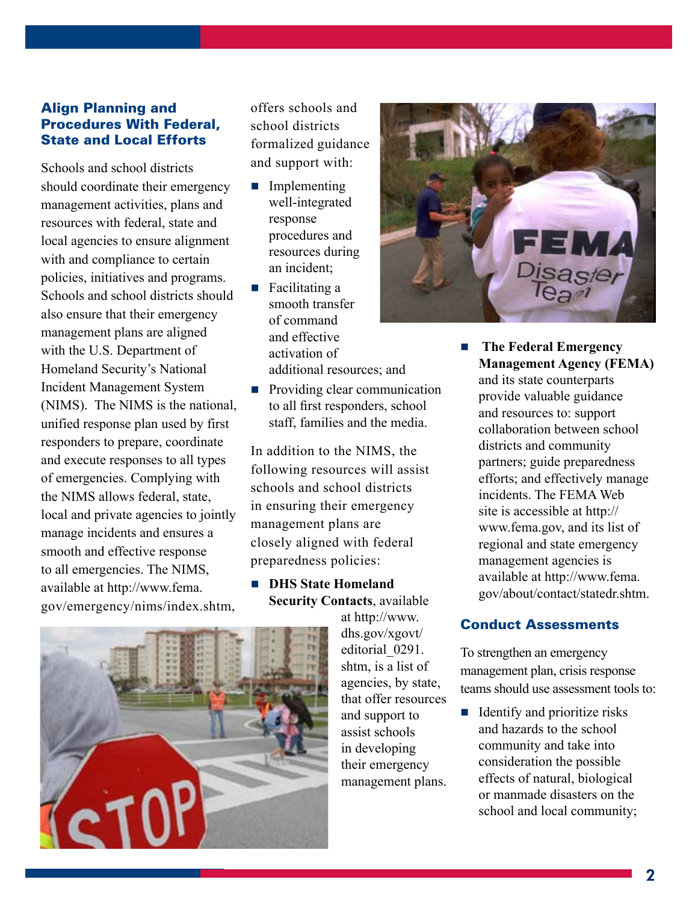# Align Planning and Procedures With Federal, State and Local Efforts

Schools and school districts should coordinate their emergency management activities, plans and resources with federal, state and local agencies to ensure alignment with and compliance to certain policies, initiatives and programs. Schools and school districts should also ensure that their emergency management plans are aligned with the U.S. Department of Homeland Security's National Incident Management System (NIMS). The NIMS is the national, unified response plan used by first responders to prepare, coordinate and execute responses to all types of emergencies. Complying with the NIMS allows federal, state, local and private agencies to jointly manage incidents and ensures a smooth and effective response to all emergencies. The NIMS, available at http://www.fema. gov/emergency/nims/index.shtm,

offers schools and school districts formalized guidance and support with:

- **Implementing** well-integrated response procedures and resources during an incident;
- Facilitating a smooth transfer of command and effective activation of additional resources; and
- **Providing clear communication** to all first responders, school staff, families and the media.

In addition to the NIMS, the following resources will assist schools and school districts in ensuring their emergency management plans are closely aligned with federal preparedness policies:

**DHS State Homeland Security Contacts**, available

at http://www. dhs.gov/xgovt/ editorial 0291. shtm, is a list of agencies, by state, that offer resources and support to assist schools in developing their emergency management plans.



**The Federal Emergency Management Agency (FEMA)** and its state counterparts provide valuable guidance and resources to: support collaboration between school districts and community partners; guide preparedness efforts; and effectively manage incidents. The FEMA Web site is accessible at http:// www.fema.gov, and its list of regional and state emergency management agencies is available at http://www.fema. gov/about/contact/statedr.shtm.  $\overline{\phantom{a}}$ 

# Conduct Assessments

To strengthen an emergency management plan, crisis response teams should use assessment tools to:

 $\blacksquare$  Identify and prioritize risks and hazards to the school community and take into consideration the possible effects of natural, biological or manmade disasters on the school and local community;

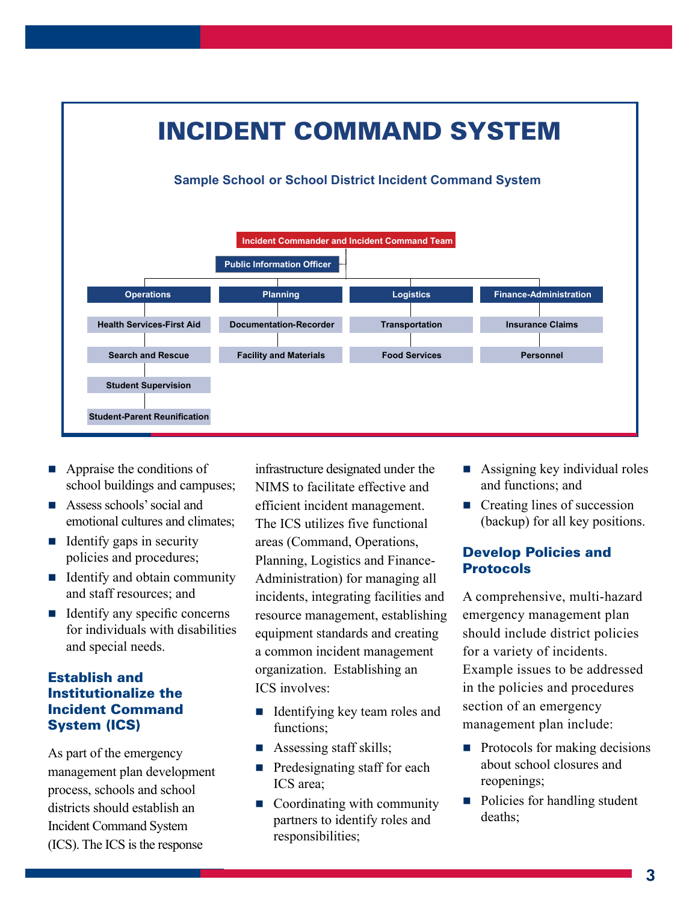

- Appraise the conditions of school buildings and campuses; m.
- **Assess schools' social and** emotional cultures and climates;
- $\blacksquare$  Identify gaps in security policies and procedures;
- Identify and obtain community and staff resources; and
- Identify any specific concerns for individuals with disabilities and special needs.

# Establish and Institutionalize the Incident Command System (ICS)

As part of the emergency management plan development process, schools and school districts should establish an Incident Command System (ICS). The ICS is the response

infrastructure designated under the NIMS to facilitate effective and efficient incident management. The ICS utilizes five functional areas (Command, Operations, Planning, Logistics and Finance-Administration) for managing all incidents, integrating facilities and resource management, establishing equipment standards and creating a common incident management organization. Establishing an ICS involves:

- Identifying key team roles and functions;
- **Assessing staff skills;**
- $\blacksquare$  Predesignating staff for each ICS area;
- Coordinating with community partners to identify roles and responsibilities;
- Assigning key individual roles and functions; and
- Creating lines of succession (backup) for all key positions.

# Develop Policies and **Protocols**

A comprehensive, multi-hazard emergency management plan should include district policies for a variety of incidents. Example issues to be addressed in the policies and procedures section of an emergency management plan include:

- $\blacksquare$  Protocols for making decisions about school closures and reopenings;
- Policies for handling student deaths;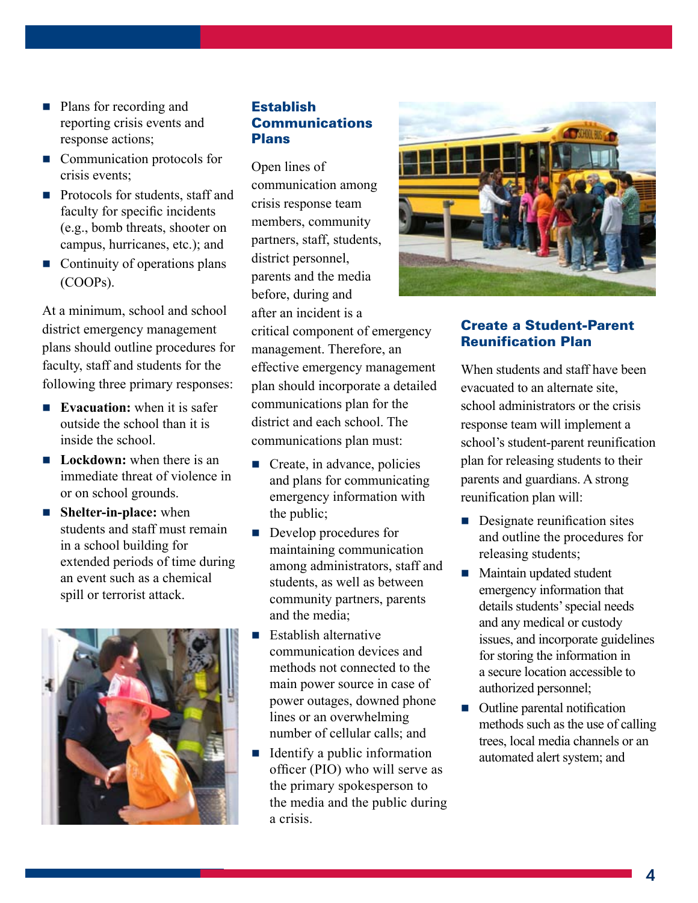- Plans for recording and reporting crisis events and response actions;
- Communication protocols for crisis events;
- **Protocols for students, staff and** faculty for specific incidents (e.g., bomb threats, shooter on campus, hurricanes, etc.); and
- Continuity of operations plans (COOPs).

At a minimum, school and school district emergency management plans should outline procedures for faculty, staff and students for the following three primary responses:

- **Evacuation:** when it is safer outside the school than it is inside the school.
- **Lockdown:** when there is an immediate threat of violence in or on school grounds.
- **Shelter-in-place:** when students and staff must remain in a school building for extended periods of time during an event such as a chemical spill or terrorist attack.



#### **Establish Communications** Plans

Open lines of communication among crisis response team members, community partners, staff, students, district personnel, parents and the media before, during and after an incident is a critical component of emergency management. Therefore, an effective emergency management plan should incorporate a detailed communications plan for the district and each school. The communications plan must:

- $\blacksquare$  Create, in advance, policies and plans for communicating emergency information with the public;
- Develop procedures for maintaining communication among administrators, staff and students, as well as between community partners, parents and the media;
- Establish alternative communication devices and methods not connected to the main power source in case of power outages, downed phone lines or an overwhelming number of cellular calls; and  $\overline{\phantom{a}}$
- $\blacksquare$  Identify a public information officer (PIO) who will serve as the primary spokesperson to the media and the public during a crisis.



#### Create a Student-Parent Reunification Plan

When students and staff have been evacuated to an alternate site, school administrators or the crisis response team will implement a school's student-parent reunification plan for releasing students to their parents and guardians. A strong reunification plan will:

- **Designate reunification sites** and outline the procedures for releasing students;
- **Maintain updated student** emergency information that details students' special needs and any medical or custody issues, and incorporate guidelines for storing the information in a secure location accessible to authorized personnel;
- Outline parental notification methods such as the use of calling trees, local media channels or an automated alert system; and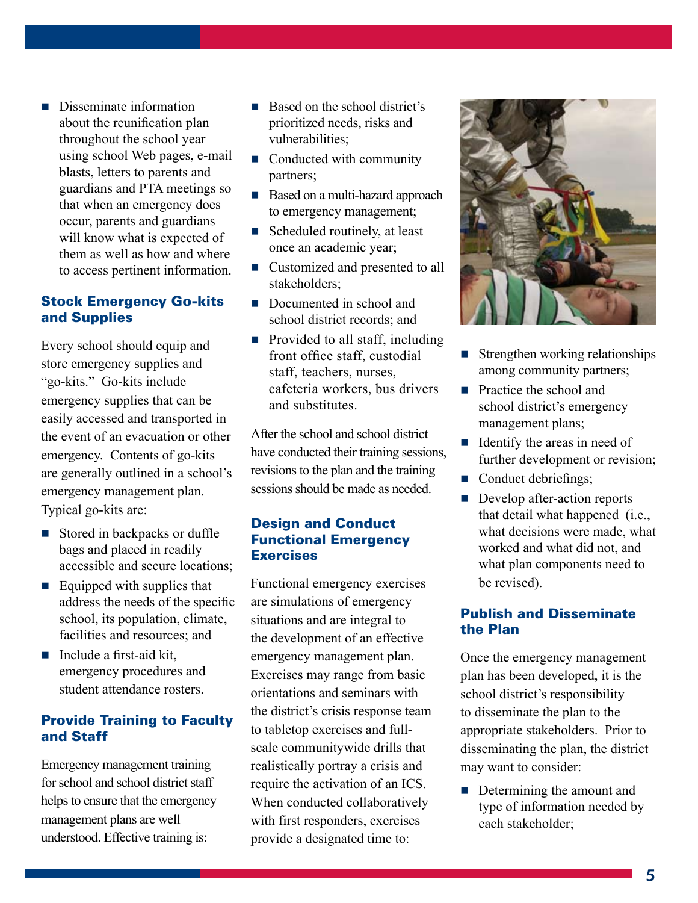**Disseminate information** about the reunification plan throughout the school year using school Web pages, e-mail blasts, letters to parents and guardians and PTA meetings so that when an emergency does occur, parents and guardians will know what is expected of them as well as how and where to access pertinent information.

#### Stock Emergency Go-kits and Supplies

Every school should equip and store emergency supplies and "go-kits." Go-kits include emergency supplies that can be easily accessed and transported in the event of an evacuation or other emergency. Contents of go-kits are generally outlined in a school's emergency management plan. Typical go-kits are:

- Stored in backpacks or duffle bags and placed in readily accessible and secure locations;
- Equipped with supplies that address the needs of the specific school, its population, climate, facilities and resources; and
- $\blacksquare$  Include a first-aid kit, emergency procedures and student attendance rosters.

# Provide Training to Faculty and Staff

Emergency management training for school and school district staff helps to ensure that the emergency management plans are well understood. Effective training is:

- Based on the school district's prioritized needs, risks and vulnerabilities;  $\overline{\phantom{a}}$
- Conducted with community partners;
- Based on a multi-hazard approach to emergency management;
- Scheduled routinely, at least once an academic year;  $\overline{\phantom{a}}$
- Customized and presented to all stakeholders;
- Documented in school and school district records; and
- **Provided to all staff, including** front office staff, custodial staff, teachers, nurses, cafeteria workers, bus drivers and substitutes.

After the school and school district have conducted their training sessions, revisions to the plan and the training sessions should be made as needed.

# Design and Conduct Functional Emergency **Exercises**

Functional emergency exercises are simulations of emergency situations and are integral to the development of an effective emergency management plan. Exercises may range from basic orientations and seminars with the district's crisis response team to tabletop exercises and fullscale communitywide drills that realistically portray a crisis and require the activation of an ICS. When conducted collaboratively with first responders, exercises provide a designated time to:



- **Strengthen working relationships** among community partners;
- **Practice the school and** school district's emergency management plans;
- $\blacksquare$  Identify the areas in need of further development or revision;
- Conduct debriefings;
- Develop after-action reports that detail what happened (i.e., what decisions were made, what worked and what did not, and what plan components need to be revised).

# Publish and Disseminate the Plan

Once the emergency management plan has been developed, it is the school district's responsibility to disseminate the plan to the appropriate stakeholders. Prior to disseminating the plan, the district may want to consider:

Determining the amount and type of information needed by each stakeholder;